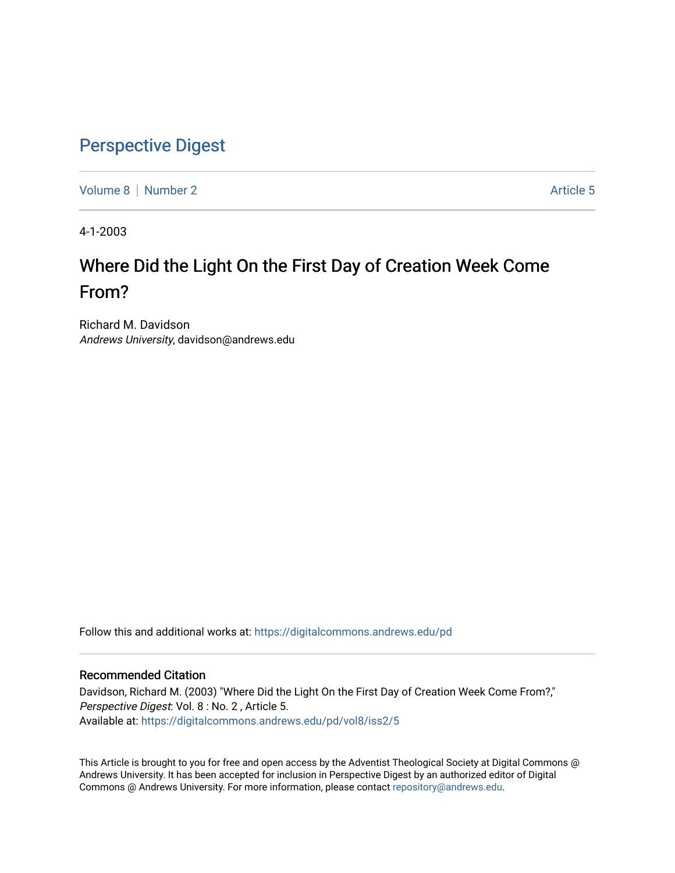## [Perspective Digest](https://digitalcommons.andrews.edu/pd)

[Volume 8](https://digitalcommons.andrews.edu/pd/vol8) [Number 2](https://digitalcommons.andrews.edu/pd/vol8/iss2) Article 5

4-1-2003

## Where Did the Light On the First Day of Creation Week Come From?

Richard M. Davidson Andrews University, davidson@andrews.edu

Follow this and additional works at: [https://digitalcommons.andrews.edu/pd](https://digitalcommons.andrews.edu/pd?utm_source=digitalcommons.andrews.edu%2Fpd%2Fvol8%2Fiss2%2F5&utm_medium=PDF&utm_campaign=PDFCoverPages)

## Recommended Citation

Davidson, Richard M. (2003) "Where Did the Light On the First Day of Creation Week Come From?," Perspective Digest: Vol. 8 : No. 2 , Article 5. Available at: [https://digitalcommons.andrews.edu/pd/vol8/iss2/5](https://digitalcommons.andrews.edu/pd/vol8/iss2/5?utm_source=digitalcommons.andrews.edu%2Fpd%2Fvol8%2Fiss2%2F5&utm_medium=PDF&utm_campaign=PDFCoverPages)

This Article is brought to you for free and open access by the Adventist Theological Society at Digital Commons @ Andrews University. It has been accepted for inclusion in Perspective Digest by an authorized editor of Digital Commons @ Andrews University. For more information, please contact [repository@andrews.edu.](mailto:repository@andrews.edu)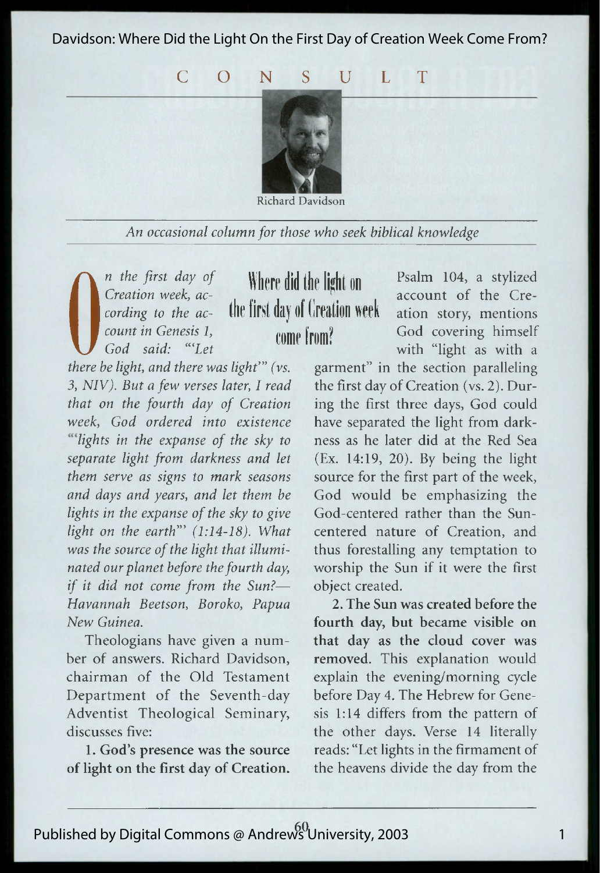Davidson: Where Did the Light On the First Day of Creation Week Come From?

C O N S U L T



Richard Davidson

*An occasional column for those who seek biblical knowledge*

*n* the first day of<br>Creation week, ac-<br>cording to the ac-<br>count in Genesis 1,<br>God said: "Let<br>there he light, and there u *Creation week, according to the account in Genesis 1,*

**Where did the light on the first day of Creation week come from?**

*there be light, and there was light*" (vs. 3, NIV). But a few verses later, I read *fhat on the fourth day of Creation week, God ordered into existence* <sup>*welights in the expanse of the sky to*</sup> *separate light from darkness and let them serve as signs to mark seasons* and days and years, and let them be *lights in the expanse of the sky to give light on the earth*" (1:14-18). What was the source of the light that illumi*nated our planet before the fourth day, if it did not come from the Sun?-Havannah Beetson, Boroko, Papua Havannah Beetson, Boroko, Papua*

Theologians have given a number of answers. Richard Davidson, chairman of the Old Testament Department of the Seventh-day Adventist Theological Seminary, discusses five:

1. God's presence was the source of light on the first day of Creation.

Psalm 104, a stylized account of the Creation story, mentions God covering himself with "light as with a

garment" in the section paralleling the first day of Creation (vs. 2). During the first three days, God could have separated the light from darkness as he later did at the Red Sea (Ex. 14:19, 20). By being the light source for the first part of the week, God would be emphasizing the God-centered rather than the Suncentered nature of Creation, and thus forestalling any temptation to worship the Sun if it were the first object created.

**2. The Sun was created before the fourth day, but became visible on that day as the cloud cover was removed.** This explanation would explain the evening/morning cycle before Day 4. The Hebrew for Genesis 1:14 differs from the pattern of the other days. Verse 14 literally reads: "Let lights in the firmament of the heavens divide the day from the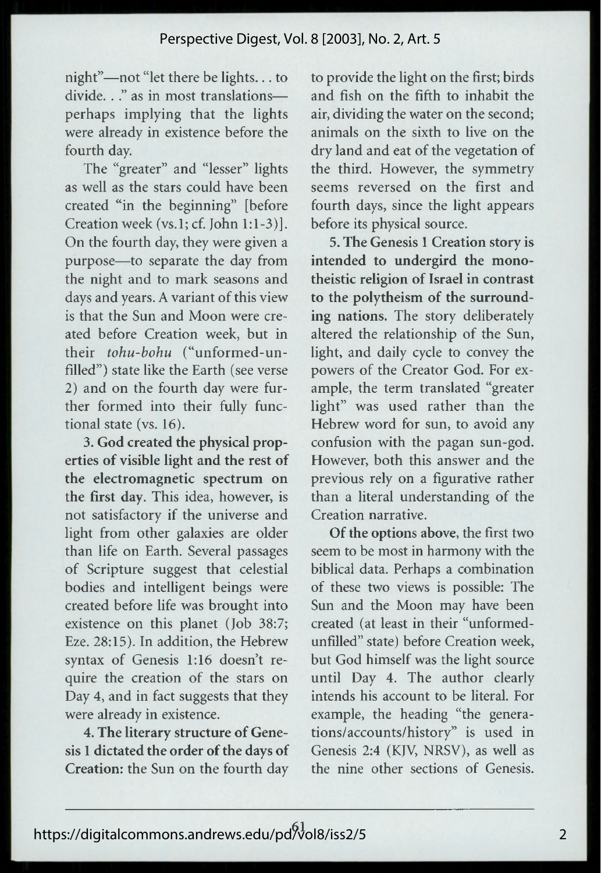night"—not "let there be lights... to divide. . ." as in most translations perhaps implying that the lights were already in existence before the fourth day.

The "greater" and "lesser" lights as well as the stars could have been created "in the beginning" [before Creation week (vs.l; cf. John 1:1-3)]. On the fourth day, they were given a purpose—to separate the day from the night and to mark seasons and days and years. A variant of this view is that the Sun and Moon were created before Creation week, but in their *tohu-bohu* ("unformed-unfilled") state like the Earth (see verse 2) and on the fourth day were further formed into their fully functional state (vs. 16).

3. **God created the physical properties of visible light and the rest of the electromagnetic spectrum on the first day.** This idea, however, is not satisfactory if the universe and light from other galaxies are older than life on Earth. Several passages of Scripture suggest that celestial bodies and intelligent beings were created before life was brought into existence on this planet (Job 38:7; Eze. 28:15). In addition, the Hebrew syntax of Genesis 1:16 doesn't require the creation of the stars on Day 4, and in fact suggests that they were already in existence.

**4. The literary structure of Genesis 1 dictated the order of the days of Creation:** the Sun on the fourth day to provide the light on the first; birds and fish on the fifth to inhabit the air, dividing the water on the second; animals on the sixth to live on the dry land and eat of the vegetation of the third. However, the symmetry seems reversed on the first and fourth days, since the light appears before its physical source.

**5. The Genesis 1 Creation story is intended to undergird the monotheistic religion of Israel in contrast to the polytheism of the surrounding nations.** The story deliberately altered the relationship of the Sun, light, and daily cycle to convey the powers of the Creator God. For example, the term translated "greater light" was used rather than the Hebrew word for sun, to avoid any confusion with the pagan sun-god. However, both this answer and the previous rely on a figurative rather than a literal understanding of the Creation narrative.

**Of the options above,** the first two seem to be most in harmony with the biblical data. Perhaps a combination of these two views is possible: The Sun and the Moon may have been created (at least in their "unformedunfilled" state) before Creation week, but God himself was the light source until Day 4. The author clearly intends his account to be literal. For example, the heading "the generations/accounts/history" is used in Genesis 2:4 (KJV, NRSV), as well as the nine other sections of Genesis.